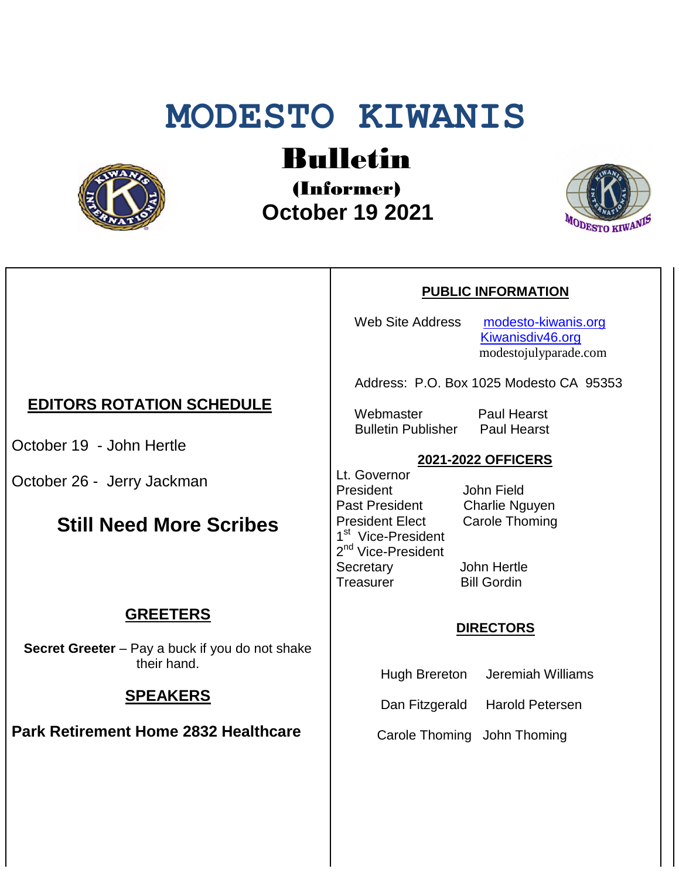# **MODESTO KIWANIS**



## Bulletin

(Informer)  **October 19 2021**



#### **PUBLIC INFORMATION**

Web Site Address [modesto-kiwanis.org](http://modesto-kiwanis.org/) [Kiwanisdiv46.org](http://www.kiwanisdiv46.org/) modestojulyparade.com

Address: P.O. Box 1025 Modesto CA 95353

 Webmaster Paul Hearst Bulletin Publisher Paul Hearst

#### **2021-2022 OFFICERS**

Lt. Governor President John Field Past President Charlie Nguyen President Elect Carole Thoming 1<sup>st</sup> Vice-President 2<sup>nd</sup> Vice-President Secretary John Hertle Treasurer Bill Gordin

#### **DIRECTORS**

Hugh Brereton Jeremiah Williams

Dan Fitzgerald Harold Petersen

Carole Thoming John Thoming

## **EDITORS ROTATION SCHEDULE**

October 19 - John Hertle

October 26 - Jerry Jackman

## **Still Need More Scribes**

## **GREETERS**

**Secret Greeter** – Pay a buck if you do not shake their hand.

### **SPEAKERS**

**Park Retirement Home 2832 Healthcare**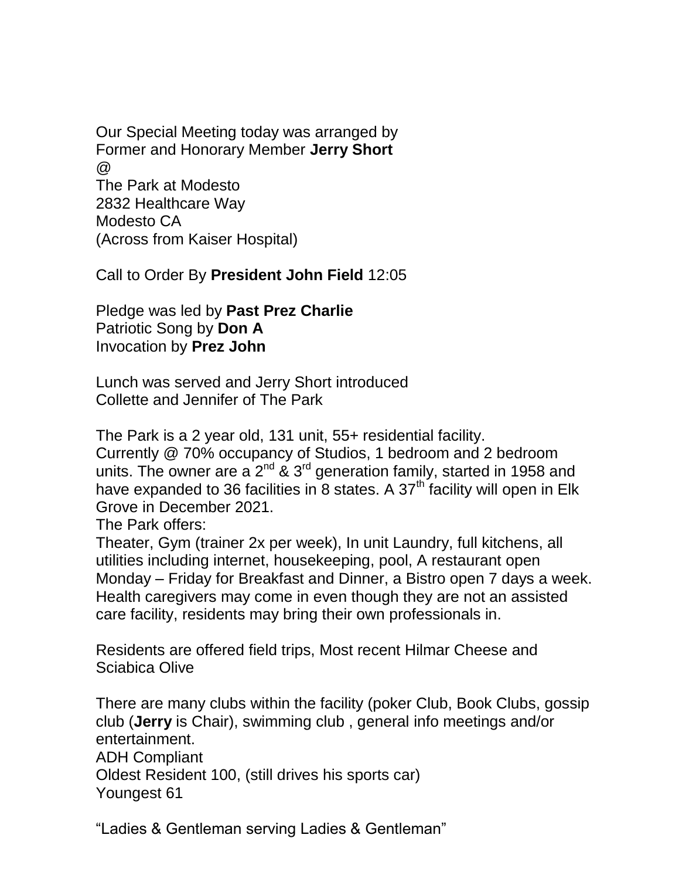Our Special Meeting today was arranged by Former and Honorary Member **Jerry Short**  $\omega$ The Park at Modesto 2832 Healthcare Way Modesto CA (Across from Kaiser Hospital)

Call to Order By **President John Field** 12:05

Pledge was led by **Past Prez Charlie** Patriotic Song by **Don A** Invocation by **Prez John**

Lunch was served and Jerry Short introduced Collette and Jennifer of The Park

The Park is a 2 year old, 131 unit, 55+ residential facility.

Currently @ 70% occupancy of Studios, 1 bedroom and 2 bedroom units. The owner are a  $2^{nd}$  &  $3^{rd}$  generation family, started in 1958 and have expanded to 36 facilities in 8 states. A  $37<sup>th</sup>$  facility will open in Elk Grove in December 2021.

The Park offers:

Theater, Gym (trainer 2x per week), In unit Laundry, full kitchens, all utilities including internet, housekeeping, pool, A restaurant open Monday – Friday for Breakfast and Dinner, a Bistro open 7 days a week. Health caregivers may come in even though they are not an assisted care facility, residents may bring their own professionals in.

Residents are offered field trips, Most recent Hilmar Cheese and Sciabica Olive

There are many clubs within the facility (poker Club, Book Clubs, gossip club (**Jerry** is Chair), swimming club , general info meetings and/or entertainment. ADH Compliant Oldest Resident 100, (still drives his sports car)

Youngest 61

"Ladies & Gentleman serving Ladies & Gentleman"